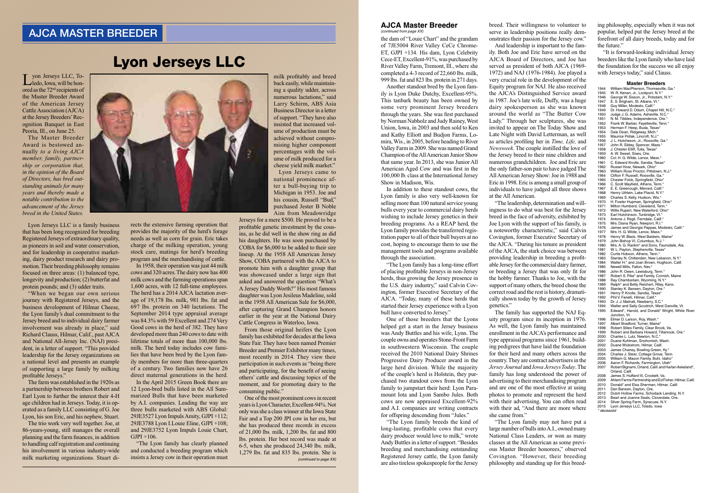Lyon Jerseys LLC

## AJCA MASTER BREEDER

## **AJCA Master Breeder** *(continued from page XX)*

Lyon Jerseys LLC, To-ledo, Iowa, will be honored as the 72nd recipients of the Master Breeder Award of the American Jersey Cattle Association (AJCA) at the Jersey Breeders' Recognition Banquet in East Peoria, Ill., on June 25.

The Master Breeder Award is bestowed annually *to a living AJCA member, family, partnership or corporation that, in the opinion of the Board of Directors, has bred outstanding animals for many years and thereby made a notable contribution to the advancement of the Jersey breed in the United States.*

Lyon Jerseys LLC is a family business that has been long recognized for breeding Registered Jerseys of extraordinary quality, as pioneers in soil and water conservation, and for leadership in cooperative marketing, dairy product research and dairy promotion. Their breeding philosophy remains focused on three areas: (1) balanced type, longevity and production; (2) butterfat and protein pounds; and (3) udder traits.

"When we began our own serious journey with Registered Jerseys, and the business development of Hilmar Cheese, the Lyon family's dual commitment to the Jersey breed and to individual dairy farmer involvement was already in place," said Richard Clauss, Hilmar, Calif., past AJCA and National All-Jersey Inc. (NAJ) president, in a letter of support. "This provided leadership for the Jersey organizations on a national level and presents an example of supporting a large family by milking profitable Jerseys."

The farm was established in the 1920s as a partnership between brothers Robert and Earl Lyon to further the interest their 4-H age children had in Jerseys. Today, it is operated as a family LLC consisting of G. Joe Lyon, his son Eric, and his nephew, Stuart.

The trio work very well together. Joe, at 86-years-young, still manages the overall planning and the farm finances, in addition to handling calf registration and continuing his involvement in various industry-wide milk marketing organizations. Stuart di-



the dam of "Louie Chart" and the grandam of 7JE5004 River Valley CeCe Chrome-ET, GJPI +134. His dam, Lyon Celebrity Cece-ET, Excellent-91%, was purchased by River Valley Farm, Tremont, Ill., where she completed a 4-3 record of 22,660 lbs. milk, 999 lbs. fat and 823 lbs. protein in 271 days.

Another standout bred by the Lyon family is Lyon Duke Dutchy, Excellent-95%. This tanbark beauty has been owned by some very prominent Jersey breeders through the years. She was first purchased by Norman Nabholz and Judy Rainey, West Union, Iowa, in 2003 and then sold to Ken and Kathy Elliott and Budjon Farms, Lomira, Wis., in 2005, before heading to River Valley Farm in 2009. She was named Grand Champion of the All American Junior Show that same year. In 2013, she was Junior All American Aged Cow and was first in the 100,000 lb. class at the International Jersey Show in Madison, Wis.

In the April 2015 Green Book there are 12 Lyon-bred bulls listed in the All Summarized Bulls that have been marketed by A.I. companies. Leading the way are three bulls marketed with ABS Global: 29JE3527 Lyon Impuls Amity, GJPI +112; 29JE3788 Lyon I.Louie Eline, GJPI +108; and 29JE3752 Lyon Impuls Louie Chart,  $GJPI +106.$ 

In addition to these standout cows, the Lyon family is also very well-known for selling more than 100 natural service young bulls every year to commercial dairy herds wishing to include Jersey genetics in their breeding programs. As a REAP herd, the Lyon family provides the transferred registration paper to all of their bull buyers at no cost, hoping to encourage them to use the management tools and programs available through the association.

"The Lyon family has a long-time effort of placing profitable Jerseys in non-Jersey herds, thus growing the Jersey presence in the U.S. dairy industry," said Calvin Covington, former Executive Secretary of the AJCA. "Today, many of these herds that started their Jersey experience with a Lyon bull have converted to Jersey."

One of those breeders that the Lyons helped get a start in the Jersey business was Andy Buttles and his wife, Lynn. The couple owns and operates Stone-Front Farm in southwestern Wisconsin. The couple received the 2010 National Dairy Shrines Progressive Dairy Producer award in the large herd division. While the majority of the couple's herd is Holstein, they purchased two standout cows from the Lyon family to jumpstart their herd: Lyon Paramount Iota and Lyon Sambo Jules. Both cows are now appraised Excellent-92% and A.I. companies are writing contracts for offspring descending from "Jules."

"The Lyon family breeds the kind of long-lasting, profitable cows that every dairy producer would love to milk," wrote Andy Buttles in a letter of support. "Besides breeding and merchandising outstanding Registered Jersey cattle, the Lyon family are also tireless spokespeople for the Jersey

rects the extensive farming operation that provides the majority of the herd's forage needs as well as corn for grain. Eric takes charge of the milking operation, young stock care, matings for herd's breeding program and the merchandising of cattle.

In 1958, their operation was just 44 milk cows and 320 acres. The dairy now has 400 milk cows and the farming operations span 1,600 acres, with 12 full-time employees. The herd has a 2014 AJCA lactation average of 19,178 lbs. milk, 981 lbs. fat and 697 lbs. protein on 340 lactations. The September 2014 type appraisal average was 84.3% with 59 Excellent and 274 Very Good cows in the herd of 382. They have developed more than 240 cows to date with lifetime totals of more than 100,000 lbs. milk. The herd today includes cow families that have been bred by the Lyon family members for more than three-quarters of a century. Two families now have 26 direct maternal generations in the herd.

> *(continued to page XX)* One of the most prominent cows in recent years is Lyon Character, Excellent-94%. Not only was she a class winner at the Iowa State Fair and a Top 200 JPI cow in her era, but she has produced three records in excess of 21,000 lbs. milk, 1,200 lbs. fat and 800 lbs. protein. Her best record was made at 6-5, when she produced 24,340 lbs. milk, 1,279 lbs. fat and 835 lbs. protein. She is

"The Lyon family has clearly planned and conducted a breeding program which insists a Jersey cow in their operation must

breed. Their willingness to volunteer to serve in leadership positions really demonstrates their passion for the Jersey cow."

And leadership is important to the fam-

ily. Both Joe and Eric have served on the AJCA Board of Directors, and Joe has served as president of both AJCA (1969- 1972) and NAJ (1976-1984). Joe played a very crucial role in the development of the Equity program for NAJ. He also received the AJCA's Distinguished Service award in 1987. Joe's late wife, Duffy, was a huge dairy spokesperson as she was known around the world as "The Butter Cow Lady." Through her sculptures, she was invited to appear on The Today Show and Late Night with David Letterman, as well as articles profiling her in *Time, Life,* and *Newsweek*. The couple instilled the love of the Jersey breed to their nine children and numerous grandchildren. Joe and Eric are the only father-son pair to have judged The All American Jersey Show: Joe in 1988 and Eric in 1998. Eric is among a small group of individuals to have judged all three shows at the All American.

1944 William MacPherson, Thomasville, Ga.\*<br>1945 W. R. Kenan, Jr., Lockport, N.Y.\*<br>1946 George W. Sisson, Jr., Potsdam, N.Y.\* W. R. Kenan, Jr., Lockport, N.Y.\* 1946 George W. Sisson, Jr., Potsdam, N.Y.\*<br>1947 E. S. Brigham, St. Albans, Vt.\* 1947 E. S. Brigham, St. Albans, Vt.\*<br>1948 Guy Miller, Modesto, Calif.\*<br>1949 Dr. Howard D. Odum, Chapel F Guy Miller, Modesto, Calif.\* 1949 Dr. Howard D. Odum, Chapel Hill, N.C.\*<br>1950 Judge J. G. Adams, Asheville, N.C.\* 1950 Judge J. G. Adams, Asheville, N.C.\*<br>1951 N. M. Tibbles, Independence, Ore.\* 1951 N. M. Tibbles, Independence, Ore.<br>1952 Frank W. Barber, Fayetteville, Tenn 1952 Frank W. Barber, Fayetteville, Tenn.<br>1953 Herman F. Heep, Buda, Texas\* 1953 Herman F. Heep, Buda, Texas\*<br>1954 Dale Dean, Ridgeway, Mich.\* 1954 Dale Dean, Ridgeway, Mich.\* 1955 Maurice Pollak, Lincroft, N.J.\* 1956 J. L. Hutcheson, Jr., Rossville, Ga.\* 1957 John R. Sibley, Spencer, Mass.\*<br>1958 J. Chester Elliff, Tulia, Texas\* 1958 J. Chester Elliff, Tulia, Texas\*<br>1959 A. W. Sweet, Sixes, Ore. 1959 A. W. Sweet, Sixes, Ore.<br>1960 Col. H. G. Wilde, Lenox, 1960 Col. H. G. Wilde, Lenox, Mass.<br>1961 C. Edward Knolle, Sandia, Texa 1961 C. Edward Knolle, Sandia, Texas<br>1962 Russel Hoar, Newark, Ohio\*<br>1963 William Ross Proctor. Pittstown. 1962 Russel Hoar, Newark, Ohio\* 1963 William Ross Proctor, Pittstown, N.J.\* 1964 Clifton F. Russell, Rossville, Ga.\*<br>1965 Chester Folck, Springfield, Ohio\*<br>1966 C. Scott Mavfield. Athens. Tenn.\* 1965 Chester Folck, Springfield, Ohio\* 1966 C. Scott Mayfield, Athens, Tenn.\* 1967 E. E. Greenough, Merced, Calif.\* 1968 Henry Uihlein, Lake Placid, N.Y.\*<br>1969 Charles S. Kelly Hudson, Wis.\* 1969 Charles S. Kelly, Hudson, Wis.\*<br>1970 H. Fowler Hupman, Springfield, H. Fowler Hupman, Springfield, Ohio\* 1971 Milton Humberd, Cleveland, Tenn.<sup>\*</sup><br>1972 Willis Rupert. New Waterford. Ohio 1972 Willis Rupert, New Waterford, Ohio\*<br>1973 Earl Hutchinson, Tupbridge Vt \* 1973 Earl Hutchinson, Tunbridge, Vt.\*<br>1974 Antone J. Regli, Ferndale, Calif.\* 1974 Antone J. Regli, Ferndale, Calif.\* 1975 Mrs. Diana Ryan, Newport, R.I.\* 1976 James and Georgia Pappas, Modesto, Calif.\*<br>1977 Mrs. H. G. Wilde, Lenox, Mass.\* Mrs. H. G. Wilde, Lenox, Mass.\* 1978 Henry W. Black, West Baldwin, Maine<br>1979 John Bishop VI, Columbus, N.J. 1979 John Bishop VI, Columbus, N.J.<br>1980 Mrs. A. G. Rankin\* and Sons. Far 1980 Mrs. A. G. Rankin\* and Sons, Faunsdale, Ala.<br>1981 W. L. Payton, Stephenville, Texas\*<br>1982 Curtis Hobson, Athens, Tenn.\* W. L. Payton, Stephenville, Texas<sup>\*</sup> 1982 Curtis Hobson, Athens, Tenn.\*<br>1983 Stanley N. Chittenden, New Le 1983 Stanley N. Chittenden, New Lebanon, N.Y.\*<br>1984 Walter H.\* and Joan Brown, Hughson, Calif<br>1985 Newell Mills. Fallon. Nev.\* Walter H.\* and Joan Brown, Hughson, Calif. 1985 Newell Mills, Fallon, Nev.\*<br>1986 John R. Owen, Lewisburg 1986 John R. Owen, Lewisburg, Tenn.\*<br>1987 Robert S. Pike\* and Family, Corn 1987 Robert S. Pike<sup>\*</sup> and Family, Cornish, Maine<br>1988 Bay Chamberlain, Wyoming, N.Y.\* 1988 Ray Chamberlain, Wyoming, N.Y.\*<br>1989 Ralph\* and Betty Reichert, Riley, K 1989 Ralph\* and Betty Reichert, Riley, Kans.<br>1990 Stanley K. Bansen. Davton. Ore.\* 1990 Stanley K. Bansen, Dayton, Ore.<sup>\*</sup><br>1991 Henry P Knolle, Sandia Texas\* 1991 Henry P. Knolle, Sandia, Texas<br>1992 Phil V. Fanelli, Hilmar, Calif.\* 1992 Phil V. Fanelli, Hilmar, Calif.\*<br>1993 Dr. J. J. Malnati, Newberry S 1993 Dr. J. J. Malnati, Newberry, S.C.\*<br>1994 Walter and Sally Goodrich West 1994 Walter and Sally Goodrich, West Danville, Vt.<br>1995 Edward\*, Harold, and Donald\* Wright, White 1995 Edward\*, Harold, and Donald\* Wright, White River Junction, Vt. 1996 Elmer D. Larson, Roy, Wash.\* 1997 Albert Bradford, Turner, Maine<sup>\*</sup><br>1998 Bobert Stiles Family Clear Bro 1998 Robert Stiles Family, Clear Brook, Va. 1999 Robert and Barbara Howard, Tillamook, Ore.\* 2000 Charles L. Lutz, Newton, N.C.\*<br>2001 Duane Kuhlman, Snohomish, W 2001 Duane Kuhlman, Snohomish, Wash. 2002 Duane Wickstrom, Hilmar, Calif. 2003 James Chaney, Bowling Green, Ky.\*<br>2004 Charles J. Steer, Cottage Grove. Ter 2004 Charles J. Steer, Cottage Grove, Tenn. 2005 William G. Mason Family, Buhl, Idaho\* 2006 Aaron F. Richards, Farmington, Utah<sup>\*</sup><br>2007 Robert Bignami, Orland, Calif. and Har Robert Bignami, Orland, Calif. and Harlan Askeland<sup>\*</sup> Orland, Calif. Francis, Cames Huffard III, Crockett, Va.<br>2009 Ahlem Farms Partnership and Ed Fi<br>2010 Donald\* and Elsa Sherman, Hilma 2009 Ahlem Farms Partnership and Ed Fisher, Hilmar, Calif. 2010 Donald\* and Elsa Sherman, Hilmar, Calif. 2011 Dan Bansen, Dayton, Ore.<br>2012 Dutch Hollow Farms, Schor 2012 Dutch Hollow Farms, Schodack Landing, N.Y.<br>2013 Bearl and Joanne Seals, Cloverdale, Ore. Bearl and Joanne Seals, Cloverdale, Ore. 2014 Silver Spring Farm, Syracuse, N.Y. 2015 Lyon Jerseys LLC, Toledo, Iowa *\* deceased*

"The leadership, determination and willingness to do what was best for the Jersey breed in the face of adversity, exhibited by Joe Lyon with the support of his family, is a noteworthy characteristic," said Calvin Covington, former Executive Secretary of the AJCA. "During his tenure as president of the AJCA, the stark choice was between providing leadership in breeding a profitable Jersey for the commercial dairy farmer, or breeding a Jersey that was only fit for the hobby farmer. Thanks to Joe, with the support of many others, the breed chose the correct road and the rest is history, dramatically shown today by the growth of Jersey genetics."

The family has supported the NAJ Equity program since its inception in 1976. As well, the Lyon family has maintained enrollment in the AJCA's performance and type appraisal programs since 1961, building pedigrees that have laid the foundation for their herd and many others across the country. They are contract advertisers in the *Jersey Journal* and *Iowa Jerseys Today*. The family has long understood the power of advertising to their merchandising program and are one of the most effective at using photos to promote and represent the herd with their advertising. You can often read with their ad, "And there are more where she came from."

"The Lyon family may not have put a large number of bulls into A.I., owned many National Class Leaders, or won as many classes at the All American as some previous Master Breeder honorees," observed Covington. "However, their breeding philosophy and standing up for this breed-

milk profitably and breed back easily, while maintaining a quality udder, across numerous lactations," said Larry Schirm, ABS Asia Business Director in a letter of support. "They have also insisted that increased volume of production must be achieved without compromising higher component percentages with the volume of milk produced for a cheese yield milk market."

Lyon Jerseys came to national prominence after a bull-buying trip to Michigan in 1953. Joe and his cousin, Russell "Bud," purchased Jester B Noble Aim from Meadowridge

Jerseys for a mere \$500. He proved to be a profitable genetic investment by the cousins, as he did well in the show ring as did his daughters. He was soon purchased by COBA for \$6,000 to be added to their sire lineup. At the 1958 All American Jersey Show, COBA partnered with the AJCA to promote him with a daughter group that was showcased under a large sign that asked and answered the question "What's A Jersey Daddy Worth?" His most famous daughter was Lyon Jesileus Madeline, sold in the 1958 All American Sale for \$6,000, after capturing Grand Champion honors earlier in the year at the National Dairy Cattle Congress in Waterloo, Iowa.

From those original heifers the Lyon family has exhibited for decades at the Iowa State Fair. They have been named Premier Breeder and Premier Exhibitor many times, most recently in 2014. They view their participation in such events as "being there and participating, for the benefit of seeing others' cattle and discussing topics of the moment, and for promoting dairy to the consuming public."

ing philosophy, especially when it was not popular, helped put the Jersey breed at the forefront of all dairy breeds, today and for the future."

"It is forward-looking individual Jersey breeders like the Lyon family who have laid the foundation for the success we all enjoy with Jerseys today," said Clauss.

## **Master Breeders**